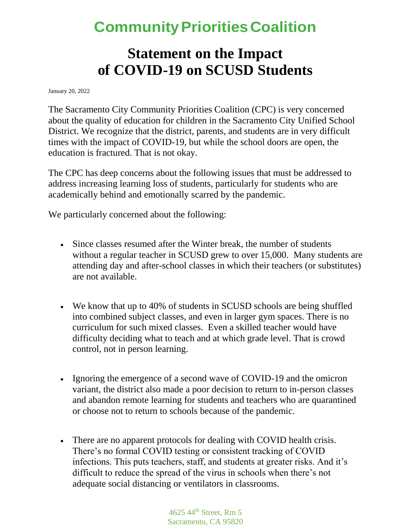### **CommunityPrioritiesCoalition**

#### **Statement on the Impact of COVID-19 on SCUSD Students**

January 20, 2022

The Sacramento City Community Priorities Coalition (CPC) is very concerned about the quality of education for children in the Sacramento City Unified School District. We recognize that the district, parents, and students are in very difficult times with the impact of COVID-19, but while the school doors are open, the education is fractured. That is not okay.

The CPC has deep concerns about the following issues that must be addressed to address increasing learning loss of students, particularly for students who are academically behind and emotionally scarred by the pandemic.

We particularly concerned about the following:

- Since classes resumed after the Winter break, the number of students without a regular teacher in SCUSD grew to over 15,000. Many students are attending day and after-school classes in which their teachers (or substitutes) are not available.
- We know that up to 40% of students in SCUSD schools are being shuffled into combined subject classes, and even in larger gym spaces. There is no curriculum for such mixed classes. Even a skilled teacher would have difficulty deciding what to teach and at which grade level. That is crowd control, not in person learning.
- Ignoring the emergence of a second wave of COVID-19 and the omicron variant, the district also made a poor decision to return to in-person classes and abandon remote learning for students and teachers who are quarantined or choose not to return to schools because of the pandemic.
- There are no apparent protocols for dealing with COVID health crisis. There's no formal COVID testing or consistent tracking of COVID infections. This puts teachers, staff, and students at greater risks. And it's difficult to reduce the spread of the virus in schools when there's not adequate social distancing or ventilators in classrooms.

4625 44th Street, Rm 5 Sacramento, CA 95820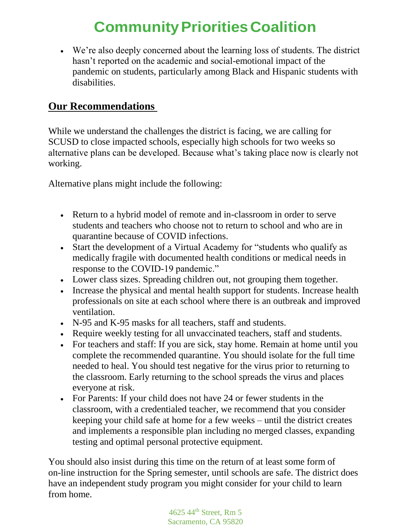## **CommunityPrioritiesCoalition**

• We're also deeply concerned about the learning loss of students. The district hasn't reported on the academic and social-emotional impact of the pandemic on students, particularly among Black and Hispanic students with disabilities.

#### **Our Recommendations**

While we understand the challenges the district is facing, we are calling for SCUSD to close impacted schools, especially high schools for two weeks so alternative plans can be developed. Because what's taking place now is clearly not working.

Alternative plans might include the following:

- Return to a hybrid model of remote and in-classroom in order to serve students and teachers who choose not to return to school and who are in quarantine because of COVID infections.
- Start the development of a Virtual Academy for "students who qualify as medically fragile with documented health conditions or medical needs in response to the COVID-19 pandemic."
- Lower class sizes. Spreading children out, not grouping them together.
- Increase the physical and mental health support for students. Increase health professionals on site at each school where there is an outbreak and improved ventilation.
- N-95 and K-95 masks for all teachers, staff and students.
- Require weekly testing for all unvaccinated teachers, staff and students.
- For teachers and staff: If you are sick, stay home. Remain at home until you complete the recommended quarantine. You should isolate for the full time needed to heal. You should test negative for the virus prior to returning to the classroom. Early returning to the school spreads the virus and places everyone at risk.
- For Parents: If your child does not have 24 or fewer students in the classroom, with a credentialed teacher, we recommend that you consider keeping your child safe at home for a few weeks – until the district creates and implements a responsible plan including no merged classes, expanding testing and optimal personal protective equipment.

You should also insist during this time on the return of at least some form of on-line instruction for the Spring semester, until schools are safe. The district does have an independent study program you might consider for your child to learn from home.

> 4625 44th Street, Rm 5 Sacramento, CA 95820